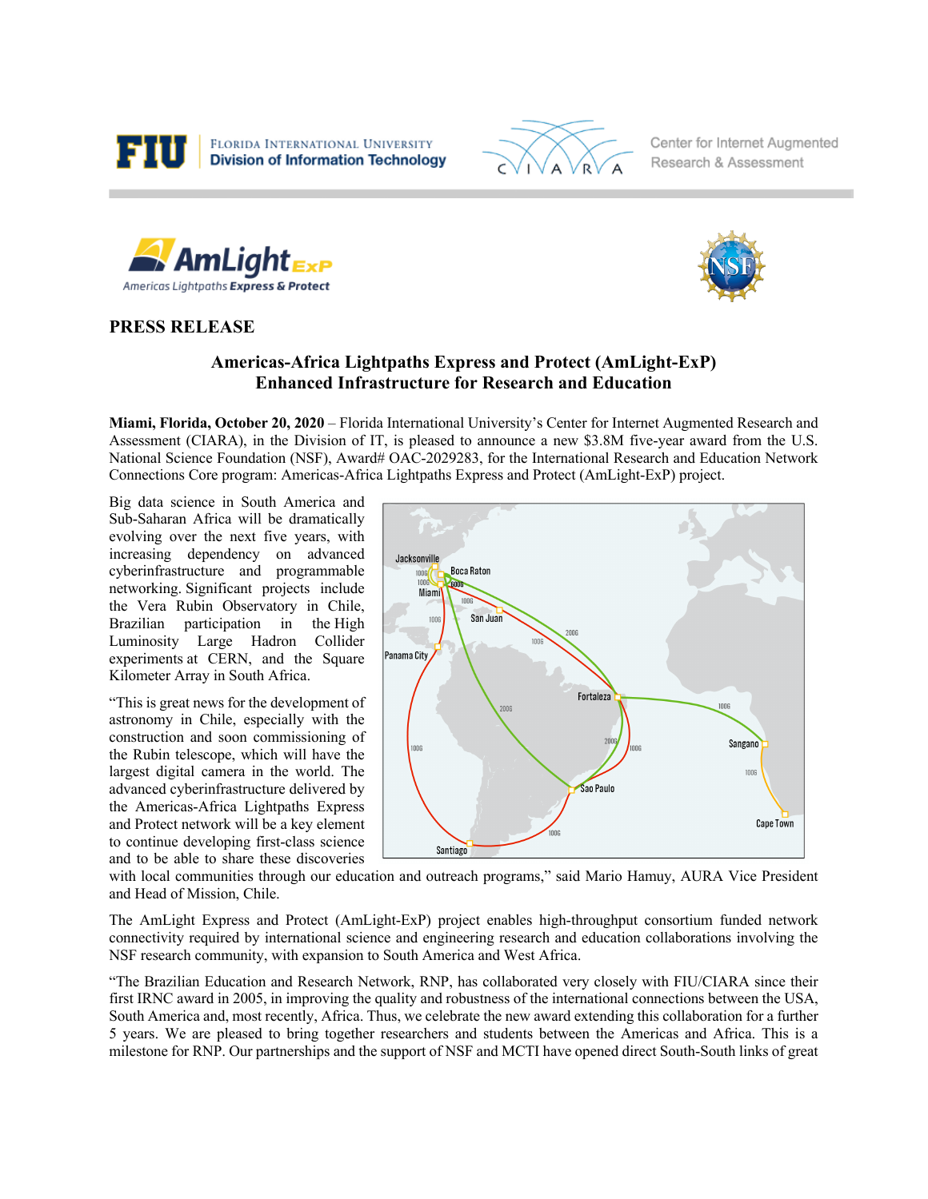



Center for Internet Augmented Research & Assessment





## **PRESS RELEASE**

## **Americas-Africa Lightpaths Express and Protect (AmLight-ExP) Enhanced Infrastructure for Research and Education**

**Miami, Florida, October 20, 2020** – Florida International University's Center for Internet Augmented Research and Assessment (CIARA), in the Division of IT, is pleased to announce a new \$3.8M five-year award from the U.S. National Science Foundation (NSF), Award# OAC-2029283, for the International Research and Education Network Connections Core program: Americas-Africa Lightpaths Express and Protect (AmLight-ExP) project.

Big data science in South America and Sub-Saharan Africa will be dramatically evolving over the next five years, with increasing dependency on advanced cyberinfrastructure and programmable networking. Significant projects include the Vera Rubin Observatory in Chile, Brazilian participation in the High Luminosity Large Hadron Collider experiments at CERN, and the Square Kilometer Array in South Africa.

"This is great news for the development of astronomy in Chile, especially with the construction and soon commissioning of the Rubin telescope, which will have the largest digital camera in the world. The advanced cyberinfrastructure delivered by the Americas-Africa Lightpaths Express and Protect network will be a key element to continue developing first-class science and to be able to share these discoveries



with local communities through our education and outreach programs," said Mario Hamuy, AURA Vice President and Head of Mission, Chile.

The AmLight Express and Protect (AmLight-ExP) project enables high-throughput consortium funded network connectivity required by international science and engineering research and education collaborations involving the NSF research community, with expansion to South America and West Africa.

"The Brazilian Education and Research Network, RNP, has collaborated very closely with FIU/CIARA since their first IRNC award in 2005, in improving the quality and robustness of the international connections between the USA, South America and, most recently, Africa. Thus, we celebrate the new award extending this collaboration for a further 5 years. We are pleased to bring together researchers and students between the Americas and Africa. This is a milestone for RNP. Our partnerships and the support of NSF and MCTI have opened direct South-South links of great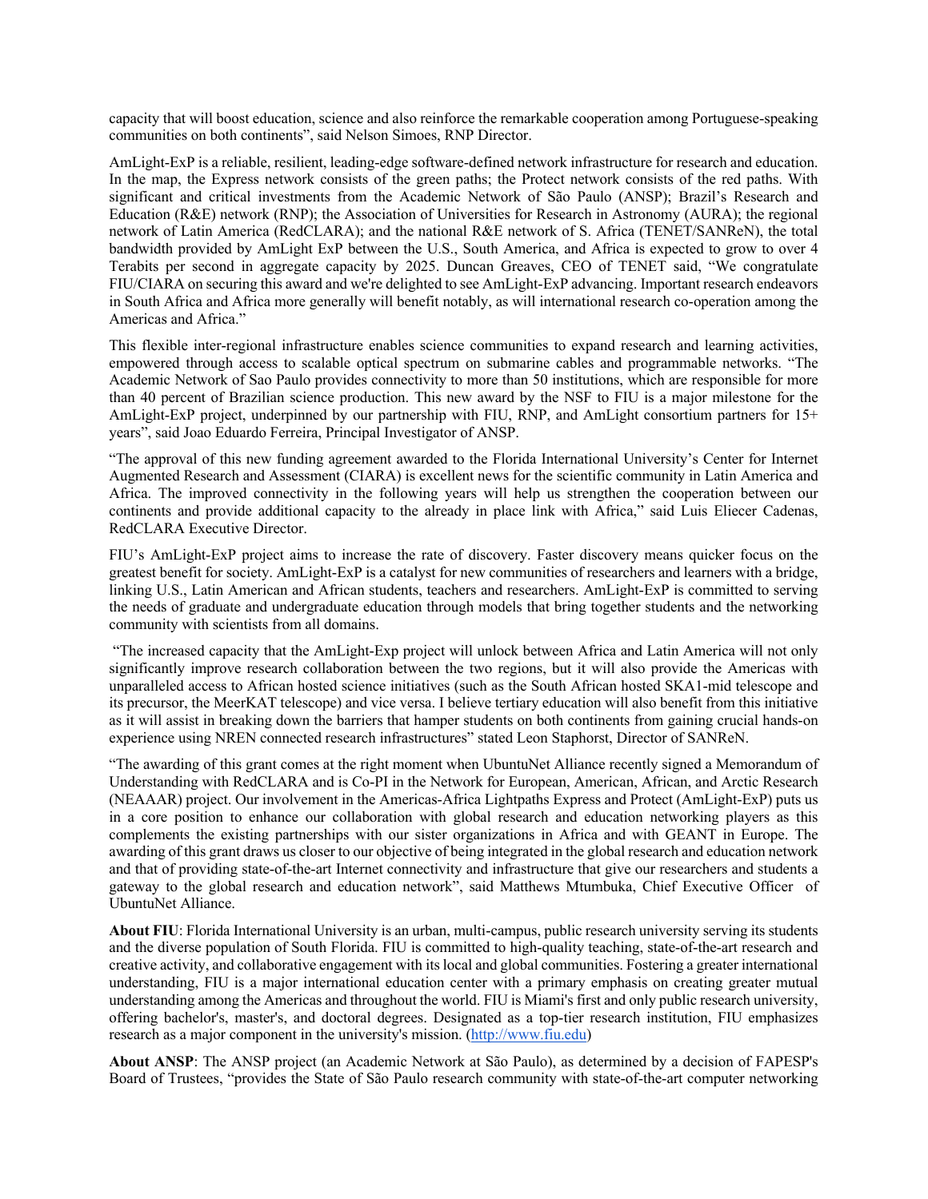capacity that will boost education, science and also reinforce the remarkable cooperation among Portuguese-speaking communities on both continents", said Nelson Simoes, RNP Director.

AmLight-ExP is a reliable, resilient, leading-edge software-defined network infrastructure for research and education. In the map, the Express network consists of the green paths; the Protect network consists of the red paths. With significant and critical investments from the Academic Network of São Paulo (ANSP); Brazil's Research and Education (R&E) network (RNP); the Association of Universities for Research in Astronomy (AURA); the regional network of Latin America (RedCLARA); and the national R&E network of S. Africa (TENET/SANReN), the total bandwidth provided by AmLight ExP between the U.S., South America, and Africa is expected to grow to over 4 Terabits per second in aggregate capacity by 2025. Duncan Greaves, CEO of TENET said, "We congratulate FIU/CIARA on securing this award and we're delighted to see AmLight-ExP advancing. Important research endeavors in South Africa and Africa more generally will benefit notably, as will international research co-operation among the Americas and Africa."

This flexible inter-regional infrastructure enables science communities to expand research and learning activities, empowered through access to scalable optical spectrum on submarine cables and programmable networks. "The Academic Network of Sao Paulo provides connectivity to more than 50 institutions, which are responsible for more than 40 percent of Brazilian science production. This new award by the NSF to FIU is a major milestone for the AmLight-ExP project, underpinned by our partnership with FIU, RNP, and AmLight consortium partners for 15+ years", said Joao Eduardo Ferreira, Principal Investigator of ANSP.

"The approval of this new funding agreement awarded to the Florida International University's Center for Internet Augmented Research and Assessment (CIARA) is excellent news for the scientific community in Latin America and Africa. The improved connectivity in the following years will help us strengthen the cooperation between our continents and provide additional capacity to the already in place link with Africa," said Luis Eliecer Cadenas, RedCLARA Executive Director.

FIU's AmLight-ExP project aims to increase the rate of discovery. Faster discovery means quicker focus on the greatest benefit for society. AmLight-ExP is a catalyst for new communities of researchers and learners with a bridge, linking U.S., Latin American and African students, teachers and researchers. AmLight-ExP is committed to serving the needs of graduate and undergraduate education through models that bring together students and the networking community with scientists from all domains.

"The increased capacity that the AmLight-Exp project will unlock between Africa and Latin America will not only significantly improve research collaboration between the two regions, but it will also provide the Americas with unparalleled access to African hosted science initiatives (such as the South African hosted SKA1-mid telescope and its precursor, the MeerKAT telescope) and vice versa. I believe tertiary education will also benefit from this initiative as it will assist in breaking down the barriers that hamper students on both continents from gaining crucial hands-on experience using NREN connected research infrastructures" stated Leon Staphorst, Director of SANReN.

"The awarding of this grant comes at the right moment when UbuntuNet Alliance recently signed a Memorandum of Understanding with RedCLARA and is Co-PI in the Network for European, American, African, and Arctic Research (NEAAAR) project. Our involvement in the Americas-Africa Lightpaths Express and Protect (AmLight-ExP) puts us in a core position to enhance our collaboration with global research and education networking players as this complements the existing partnerships with our sister organizations in Africa and with GEANT in Europe. The awarding of this grant draws us closer to our objective of being integrated in the global research and education network and that of providing state-of-the-art Internet connectivity and infrastructure that give our researchers and students a gateway to the global research and education network", said Matthews Mtumbuka, Chief Executive Officer of UbuntuNet Alliance.

**About FIU**: Florida International University is an urban, multi-campus, public research university serving its students and the diverse population of South Florida. FIU is committed to high-quality teaching, state-of-the-art research and creative activity, and collaborative engagement with its local and global communities. Fostering a greater international understanding, FIU is a major international education center with a primary emphasis on creating greater mutual understanding among the Americas and throughout the world. FIU is Miami's first and only public research university, offering bachelor's, master's, and doctoral degrees. Designated as a top-tier research institution, FIU emphasizes research as a major component in the university's mission. (http://www.fiu.edu)

**About ANSP**: The ANSP project (an Academic Network at São Paulo), as determined by a decision of FAPESP's Board of Trustees, "provides the State of São Paulo research community with state-of-the-art computer networking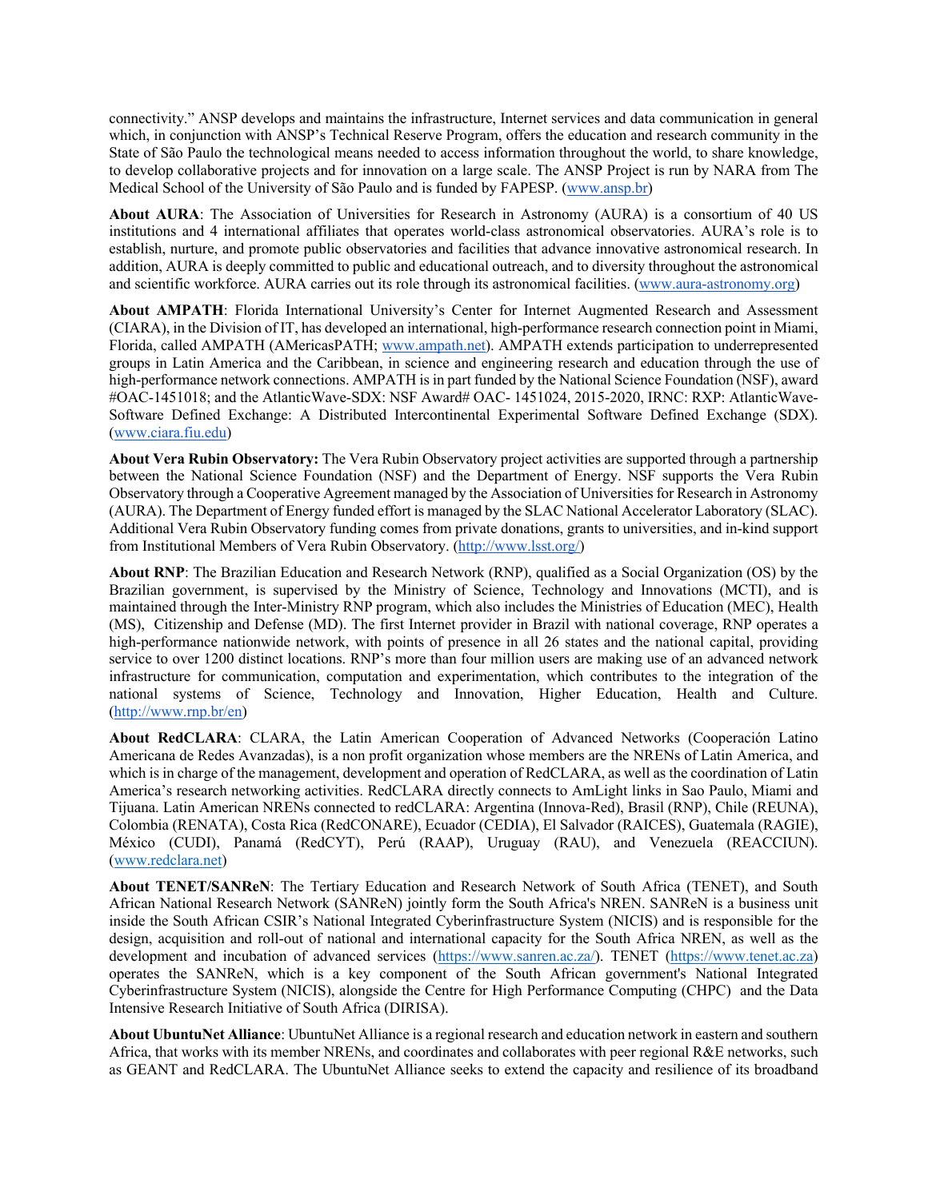connectivity." ANSP develops and maintains the infrastructure, Internet services and data communication in general which, in conjunction with ANSP's Technical Reserve Program, offers the education and research community in the State of São Paulo the technological means needed to access information throughout the world, to share knowledge, to develop collaborative projects and for innovation on a large scale. The ANSP Project is run by NARA from The Medical School of the University of São Paulo and is funded by FAPESP. (www.ansp.br)

**About AURA**: The Association of Universities for Research in Astronomy (AURA) is a consortium of 40 US institutions and 4 international affiliates that operates world-class astronomical observatories. AURA's role is to establish, nurture, and promote public observatories and facilities that advance innovative astronomical research. In addition, AURA is deeply committed to public and educational outreach, and to diversity throughout the astronomical and scientific workforce. AURA carries out its role through its astronomical facilities. (www.aura-astronomy.org)

**About AMPATH**: Florida International University's Center for Internet Augmented Research and Assessment (CIARA), in the Division of IT, has developed an international, high-performance research connection point in Miami, Florida, called AMPATH (AMericasPATH; www.ampath.net). AMPATH extends participation to underrepresented groups in Latin America and the Caribbean, in science and engineering research and education through the use of high-performance network connections. AMPATH is in part funded by the National Science Foundation (NSF), award #OAC-1451018; and the AtlanticWave-SDX: NSF Award# OAC-1451024, 2015-2020, IRNC: RXP: AtlanticWave-Software Defined Exchange: A Distributed Intercontinental Experimental Software Defined Exchange (SDX). (www.ciara.fiu.edu)

**About Vera Rubin Observatory:** The Vera Rubin Observatory project activities are supported through a partnership between the National Science Foundation (NSF) and the Department of Energy. NSF supports the Vera Rubin Observatory through a Cooperative Agreement managed by the Association of Universities for Research in Astronomy (AURA). The Department of Energy funded effort is managed by the SLAC National Accelerator Laboratory (SLAC). Additional Vera Rubin Observatory funding comes from private donations, grants to universities, and in-kind support from Institutional Members of Vera Rubin Observatory. (http://www.lsst.org/)

**About RNP**: The Brazilian Education and Research Network (RNP), qualified as a Social Organization (OS) by the Brazilian government, is supervised by the Ministry of Science, Technology and Innovations (MCTI), and is maintained through the Inter-Ministry RNP program, which also includes the Ministries of Education (MEC), Health (MS), Citizenship and Defense (MD). The first Internet provider in Brazil with national coverage, RNP operates a high-performance nationwide network, with points of presence in all 26 states and the national capital, providing service to over 1200 distinct locations. RNP's more than four million users are making use of an advanced network infrastructure for communication, computation and experimentation, which contributes to the integration of the national systems of Science, Technology and Innovation, Higher Education, Health and Culture. (http://www.rnp.br/en)

**About RedCLARA**: CLARA, the Latin American Cooperation of Advanced Networks (Cooperación Latino Americana de Redes Avanzadas), is a non profit organization whose members are the NRENs of Latin America, and which is in charge of the management, development and operation of RedCLARA, as well as the coordination of Latin America's research networking activities. RedCLARA directly connects to AmLight links in Sao Paulo, Miami and Tijuana. Latin American NRENs connected to redCLARA: Argentina (Innova-Red), Brasil (RNP), Chile (REUNA), Colombia (RENATA), Costa Rica (RedCONARE), Ecuador (CEDIA), El Salvador (RAICES), Guatemala (RAGIE), México (CUDI), Panamá (RedCYT), Perú (RAAP), Uruguay (RAU), and Venezuela (REACCIUN). (www.redclara.net)

**About TENET/SANReN**: The Tertiary Education and Research Network of South Africa (TENET), and South African National Research Network (SANReN) jointly form the South Africa's NREN. SANReN is a business unit inside the South African CSIR's National Integrated Cyberinfrastructure System (NICIS) and is responsible for the design, acquisition and roll-out of national and international capacity for the South Africa NREN, as well as the development and incubation of advanced services (https://www.sanren.ac.za/). TENET (https://www.tenet.ac.za) operates the SANReN, which is a key component of the South African government's National Integrated Cyberinfrastructure System (NICIS), alongside the Centre for High Performance Computing (CHPC) and the Data Intensive Research Initiative of South Africa (DIRISA).

**About UbuntuNet Alliance**: UbuntuNet Alliance is a regional research and education network in eastern and southern Africa, that works with its member NRENs, and coordinates and collaborates with peer regional R&E networks, such as GEANT and RedCLARA. The UbuntuNet Alliance seeks to extend the capacity and resilience of its broadband